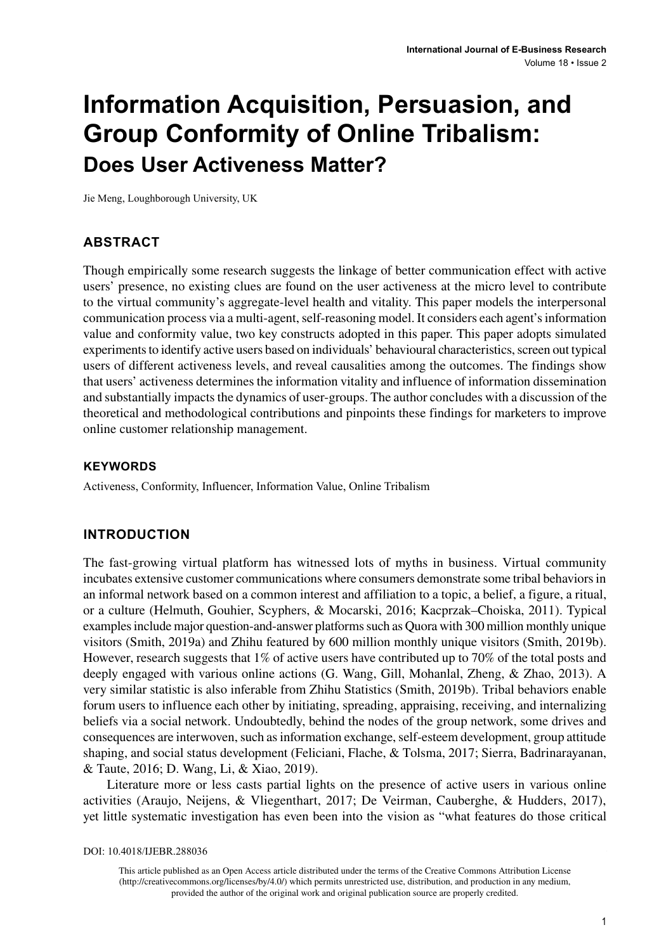# **Information Acquisition, Persuasion, and Group Conformity of Online Tribalism: Does User Activeness Matter?**

Jie Meng, Loughborough University, UK

#### **ABSTRACT**

Though empirically some research suggests the linkage of better communication effect with active users' presence, no existing clues are found on the user activeness at the micro level to contribute to the virtual community's aggregate-level health and vitality. This paper models the interpersonal communication process via a multi-agent, self-reasoning model. It considers each agent's information value and conformity value, two key constructs adopted in this paper. This paper adopts simulated experiments to identify active users based on individuals' behavioural characteristics, screen out typical users of different activeness levels, and reveal causalities among the outcomes. The findings show that users' activeness determines the information vitality and influence of information dissemination and substantially impacts the dynamics of user-groups. The author concludes with a discussion of the theoretical and methodological contributions and pinpoints these findings for marketers to improve online customer relationship management.

#### **Keywords**

Activeness, Conformity, Influencer, Information Value, Online Tribalism

#### **INTRODUCTION**

The fast-growing virtual platform has witnessed lots of myths in business. Virtual community incubates extensive customer communications where consumers demonstrate some tribal behaviors in an informal network based on a common interest and affiliation to a topic, a belief, a figure, a ritual, or a culture (Helmuth, Gouhier, Scyphers, & Mocarski, 2016; Kacprzak–Choiska, 2011). Typical examples include major question-and-answer platforms such as Quora with 300 million monthly unique visitors (Smith, 2019a) and Zhihu featured by 600 million monthly unique visitors (Smith, 2019b). However, research suggests that 1% of active users have contributed up to 70% of the total posts and deeply engaged with various online actions (G. Wang, Gill, Mohanlal, Zheng, & Zhao, 2013). A very similar statistic is also inferable from Zhihu Statistics (Smith, 2019b). Tribal behaviors enable forum users to influence each other by initiating, spreading, appraising, receiving, and internalizing beliefs via a social network. Undoubtedly, behind the nodes of the group network, some drives and consequences are interwoven, such as information exchange, self-esteem development, group attitude shaping, and social status development (Feliciani, Flache, & Tolsma, 2017; Sierra, Badrinarayanan, & Taute, 2016; D. Wang, Li, & Xiao, 2019).

Literature more or less casts partial lights on the presence of active users in various online activities (Araujo, Neijens, & Vliegenthart, 2017; De Veirman, Cauberghe, & Hudders, 2017), yet little systematic investigation has even been into the vision as "what features do those critical

DOI: 10.4018/IJEBR.288036

This article published as an Open Access article distributed under the terms of the Creative Commons Attribution License (http://creativecommons.org/licenses/by/4.0/) which permits unrestricted use, distribution, and production in any medium, provided the author of the original work and original publication source are properly credited.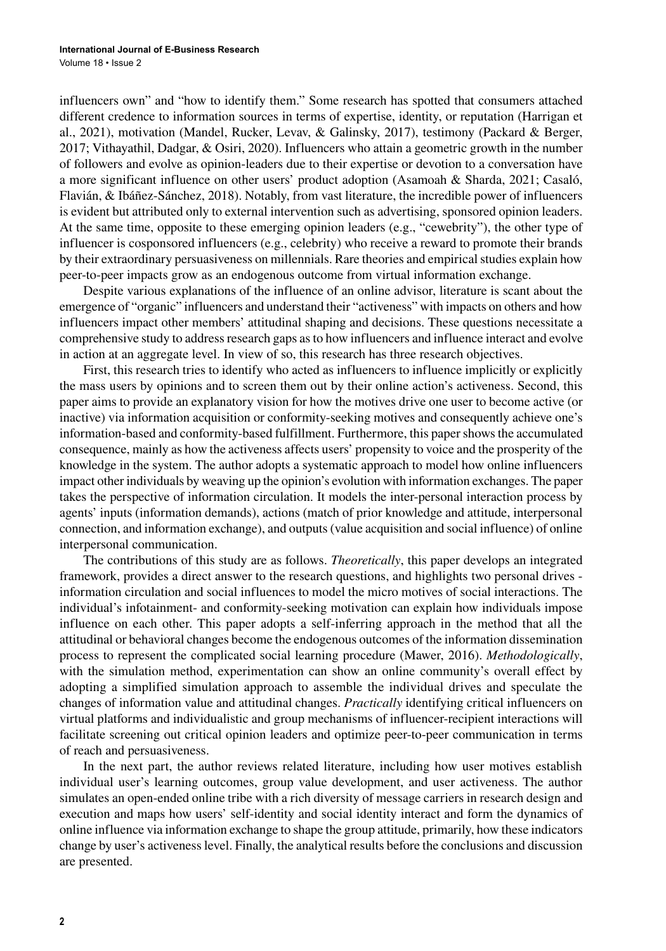influencers own" and "how to identify them." Some research has spotted that consumers attached different credence to information sources in terms of expertise, identity, or reputation (Harrigan et al., 2021), motivation (Mandel, Rucker, Levav, & Galinsky, 2017), testimony (Packard & Berger, 2017; Vithayathil, Dadgar, & Osiri, 2020). Influencers who attain a geometric growth in the number of followers and evolve as opinion-leaders due to their expertise or devotion to a conversation have a more significant influence on other users' product adoption (Asamoah & Sharda, 2021; Casaló, Flavián, & Ibáñez-Sánchez, 2018). Notably, from vast literature, the incredible power of influencers is evident but attributed only to external intervention such as advertising, sponsored opinion leaders. At the same time, opposite to these emerging opinion leaders (e.g., "cewebrity"), the other type of influencer is cosponsored influencers (e.g., celebrity) who receive a reward to promote their brands by their extraordinary persuasiveness on millennials. Rare theories and empirical studies explain how peer-to-peer impacts grow as an endogenous outcome from virtual information exchange.

Despite various explanations of the influence of an online advisor, literature is scant about the emergence of "organic" influencers and understand their "activeness" with impacts on others and how influencers impact other members' attitudinal shaping and decisions. These questions necessitate a comprehensive study to address research gaps as to how influencers and influence interact and evolve in action at an aggregate level. In view of so, this research has three research objectives.

First, this research tries to identify who acted as influencers to influence implicitly or explicitly the mass users by opinions and to screen them out by their online action's activeness. Second, this paper aims to provide an explanatory vision for how the motives drive one user to become active (or inactive) via information acquisition or conformity-seeking motives and consequently achieve one's information-based and conformity-based fulfillment. Furthermore, this paper shows the accumulated consequence, mainly as how the activeness affects users' propensity to voice and the prosperity of the knowledge in the system. The author adopts a systematic approach to model how online influencers impact other individuals by weaving up the opinion's evolution with information exchanges. The paper takes the perspective of information circulation. It models the inter-personal interaction process by agents' inputs (information demands), actions (match of prior knowledge and attitude, interpersonal connection, and information exchange), and outputs (value acquisition and social influence) of online interpersonal communication.

The contributions of this study are as follows. *Theoretically*, this paper develops an integrated framework, provides a direct answer to the research questions, and highlights two personal drives information circulation and social influences to model the micro motives of social interactions. The individual's infotainment- and conformity-seeking motivation can explain how individuals impose influence on each other. This paper adopts a self-inferring approach in the method that all the attitudinal or behavioral changes become the endogenous outcomes of the information dissemination process to represent the complicated social learning procedure (Mawer, 2016). *Methodologically*, with the simulation method, experimentation can show an online community's overall effect by adopting a simplified simulation approach to assemble the individual drives and speculate the changes of information value and attitudinal changes. *Practically* identifying critical influencers on virtual platforms and individualistic and group mechanisms of influencer-recipient interactions will facilitate screening out critical opinion leaders and optimize peer-to-peer communication in terms of reach and persuasiveness.

In the next part, the author reviews related literature, including how user motives establish individual user's learning outcomes, group value development, and user activeness. The author simulates an open-ended online tribe with a rich diversity of message carriers in research design and execution and maps how users' self-identity and social identity interact and form the dynamics of online influence via information exchange to shape the group attitude, primarily, how these indicators change by user's activeness level. Finally, the analytical results before the conclusions and discussion are presented.